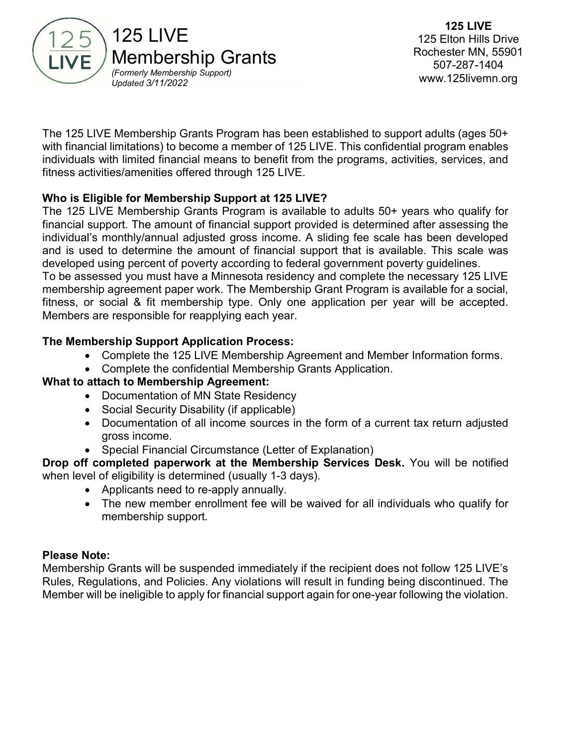

The 125 LIVE Membership Grants Program has been established to support adults (ages 50+ with financial limitations) to become a member of 125 LIVE. This confidential program enables individuals with limited financial means to benefit from the programs, activities, services, and fitness activities/amenities offered through 125 LIVE.

## Who is Eligible for Membership Support at 125 LIVE?

The 125 LIVE Membership Grants Program is available to adults 50+ years who qualify for financial support. The amount of financial support provided is determined after assessing the individual's monthly/annual adjusted gross income. A sliding fee scale has been developed and is used to determine the amount of financial support that is available. This scale was developed using percent of poverty according to federal government poverty guidelines. To be assessed you must have a Minnesota residency and complete the necessary 125 LIVE membership agreement paper work. The Membership Grant Program is available for a social, fitness, or social & fit membership type. Only one application per year will be accepted. Members are responsible for reapplying each year.

## The Membership Support Application Process:

- Complete the 125 LIVE Membership Agreement and Member Information forms.
- Complete the confidential Membership Grants Application.

## What to attach to Membership Agreement:

- Documentation of MN State Residency
- Social Security Disability (if applicable)
- Documentation of all income sources in the form of a current tax return adjusted gross income.
- Special Financial Circumstance (Letter of Explanation)

#### Drop off completed paperwork at the Membership Services Desk. You will be notified when level of eligibility is determined (usually 1-3 days).

- Applicants need to re-apply annually.
- The new member enrollment fee will be waived for all individuals who qualify for membership support.

#### Please Note:

Membership Grants will be suspended immediately if the recipient does not follow 125 LIVE's Rules, Regulations, and Policies. Any violations will result in funding being discontinued. The Member will be ineligible to apply for financial support again for one-year following the violation.